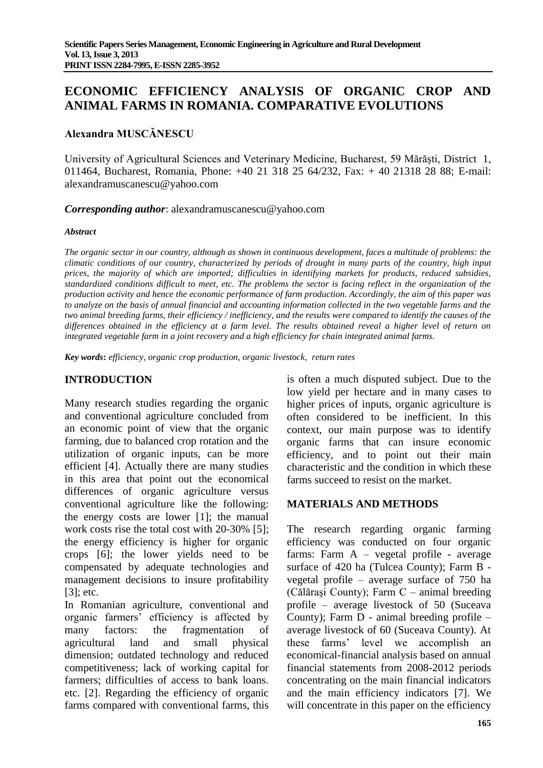# **ECONOMIC EFFICIENCY ANALYSIS OF ORGANIC CROP AND ANIMAL FARMS IN ROMANIA. COMPARATIVE EVOLUTIONS**

#### **Alexandra MUSCĂNESCU**

University of Agricultural Sciences and Veterinary Medicine, Bucharest, 59 Mărăşti, District 1, 011464, Bucharest, Romania, Phone: +40 21 318 25 64/232, Fax: + 40 21318 28 88; E-mail: alexandramuscanescu@yahoo.com

*Corresponding author*: alexandramuscanescu@yahoo.com

#### *Abstract*

*The organic sector in our country, although as shown in continuous development, faces a multitude of problems: the climatic conditions of our country, characterized by periods of drought in many parts of the country, high input prices, the majority of which are imported; difficulties in identifying markets for products, reduced subsidies, standardized conditions difficult to meet, etc. The problems the sector is facing reflect in the organization of the production activity and hence the economic performance of farm production. Accordingly, the aim of this paper was to analyze on the basis of annual financial and accounting information collected in the two vegetable farms and the two animal breeding farms, their efficiency / inefficiency, and the results were compared to identify the causes of the differences obtained in the efficiency at a farm level. The results obtained reveal a higher level of return on integrated vegetable farm in a joint recovery and a high efficiency for chain integrated animal farms.*

*Key words***:** *efficiency, organic crop production, organic livestock*, *return rates*

### **INTRODUCTION**

Many research studies regarding the organic and conventional agriculture concluded from an economic point of view that the organic farming, due to balanced crop rotation and the utilization of organic inputs, can be more efficient [4]. Actually there are many studies in this area that point out the economical differences of organic agriculture versus conventional agriculture like the following: the energy costs are lower [1]; the manual work costs rise the total cost with 20-30% [5]; the energy efficiency is higher for organic crops [6]; the lower yields need to be compensated by adequate technologies and management decisions to insure profitability [3]; etc.

In Romanian agriculture, conventional and organic farmers' efficiency is affected by many factors: the fragmentation of agricultural land and small physical dimension; outdated technology and reduced competitiveness; lack of working capital for farmers; difficulties of access to bank loans. etc. [2]. Regarding the efficiency of organic farms compared with conventional farms, this is often a much disputed subject. Due to the low yield per hectare and in many cases to higher prices of inputs, organic agriculture is often considered to be inefficient. In this context, our main purpose was to identify organic farms that can insure economic efficiency, and to point out their main characteristic and the condition in which these farms succeed to resist on the market.

### **MATERIALS AND METHODS**

The research regarding organic farming efficiency was conducted on four organic farms: Farm A – vegetal profile - average surface of 420 ha (Tulcea County); Farm B vegetal profile – average surface of 750 ha (Călăraşi County); Farm C – animal breeding profile – average livestock of 50 (Suceava County); Farm D - animal breeding profile – average livestock of 60 (Suceava County). At these farms' level we accomplish an economical-financial analysis based on annual financial statements from 2008-2012 periods concentrating on the main financial indicators and the main efficiency indicators [7]. We will concentrate in this paper on the efficiency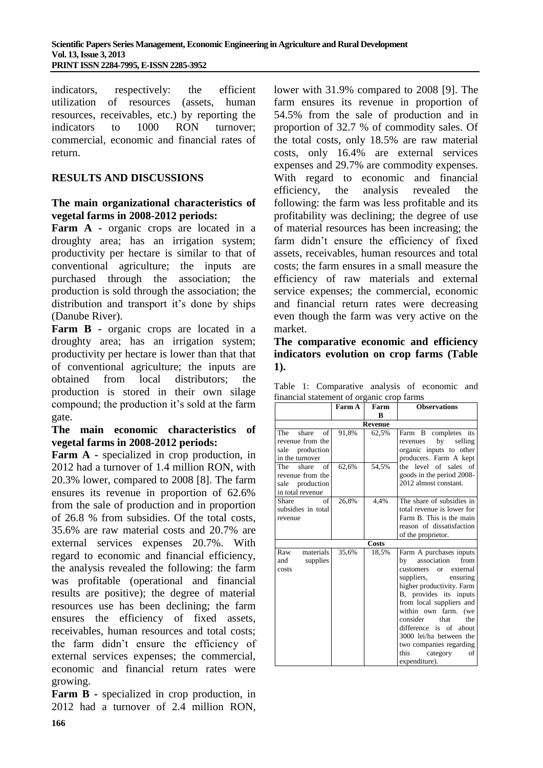indicators, respectively: the efficient utilization of resources (assets, human resources, receivables, etc.) by reporting the indicators to 1000 RON turnover; commercial, economic and financial rates of return.

## **RESULTS AND DISCUSSIONS**

### **The main organizational characteristics of vegetal farms in 2008-2012 periods:**

**Farm A -** organic crops are located in a droughty area; has an irrigation system; productivity per hectare is similar to that of conventional agriculture; the inputs are purchased through the association; the production is sold through the association; the distribution and transport it's done by ships (Danube River).

**Farm B -** organic crops are located in a droughty area; has an irrigation system; productivity per hectare is lower than that that of conventional agriculture; the inputs are obtained from local distributors; the production is stored in their own silage compound; the production it's sold at the farm gate.

#### **The main economic characteristics of vegetal farms in 2008-2012 periods:**

**Farm A** - specialized in crop production, in 2012 had a turnover of 1.4 million RON, with 20.3% lower, compared to 2008 [8]. The farm ensures its revenue in proportion of 62.6% from the sale of production and in proportion of 26.8 % from subsidies. Of the total costs, 35.6% are raw material costs and 20.7% are external services expenses 20.7%. With regard to economic and financial efficiency, the analysis revealed the following: the farm was profitable (operational and financial results are positive); the degree of material resources use has been declining; the farm ensures the efficiency of fixed assets, receivables, human resources and total costs; the farm didn't ensure the efficiency of external services expenses; the commercial, economic and financial return rates were growing.

**Farm B** - specialized in crop production, in 2012 had a turnover of 2.4 million RON,

lower with 31.9% compared to 2008 [9]. The farm ensures its revenue in proportion of 54.5% from the sale of production and in proportion of 32.7 % of commodity sales. Of the total costs, only 18.5% are raw material costs, only 16.4% are external services expenses and 29.7% are commodity expenses. With regard to economic and financial efficiency, the analysis revealed the following: the farm was less profitable and its profitability was declining; the degree of use of material resources has been increasing; the farm didn't ensure the efficiency of fixed assets, receivables, human resources and total costs; the farm ensures in a small measure the efficiency of raw materials and external service expenses; the commercial, economic and financial return rates were decreasing even though the farm was very active on the market.

**The comparative economic and efficiency indicators evolution on crop farms (Table 1).**

|  | Table 1: Comparative analysis of economic and |  |  |
|--|-----------------------------------------------|--|--|
|  | financial statement of organic crop farms     |  |  |

|                                                                               | $\cdots$ or or<br>Farm A | Farm         | <b>Observations</b>                                                                                                                                                                                                                                                                                                                                                            |  |  |  |
|-------------------------------------------------------------------------------|--------------------------|--------------|--------------------------------------------------------------------------------------------------------------------------------------------------------------------------------------------------------------------------------------------------------------------------------------------------------------------------------------------------------------------------------|--|--|--|
|                                                                               |                          | R            |                                                                                                                                                                                                                                                                                                                                                                                |  |  |  |
|                                                                               | <b>Revenue</b>           |              |                                                                                                                                                                                                                                                                                                                                                                                |  |  |  |
| of<br>The<br>share<br>revenue from the<br>sale production<br>in the turnover  | 91,8%                    | 62,5%        | Farm B<br>completes its<br>by selling<br>revenues<br>organic inputs to other<br>producers. Farm A kept                                                                                                                                                                                                                                                                         |  |  |  |
| of<br>The<br>share<br>revenue from the<br>sale production<br>in total revenue | 62,6%                    | 54,5%        | the level of sales of<br>goods in the period 2008-<br>2012 almost constant.                                                                                                                                                                                                                                                                                                    |  |  |  |
| Share<br>of<br>subsidies in total<br>revenue                                  | 26,8%                    | 4,4%         | The share of subsidies in<br>total revenue is lower for<br>Farm B. This is the main<br>reason of dissatisfaction<br>of the proprietor.                                                                                                                                                                                                                                         |  |  |  |
|                                                                               |                          | <b>Costs</b> |                                                                                                                                                                                                                                                                                                                                                                                |  |  |  |
| materials<br>Raw<br>supplies<br>and<br>costs                                  | 35,6%                    | 18.5%        | Farm A purchases inputs<br>association<br>from<br>by<br>or external<br>customers<br>suppliers,<br>ensuring<br>higher productivity. Farm<br>B, provides its inputs<br>from local suppliers and<br>within own farm.<br>(we<br>consider<br>that<br>the<br>difference is of about<br>3000 lei/ha between the<br>two companies regarding<br>this<br>category<br>οf<br>expenditure). |  |  |  |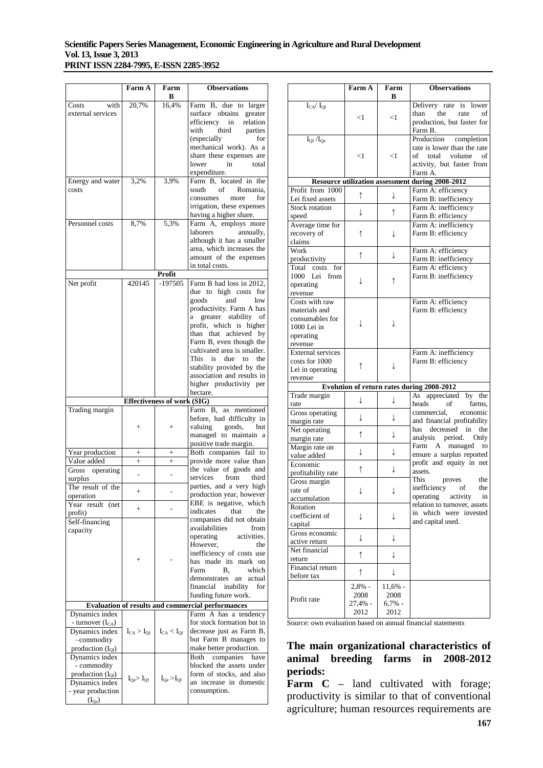#### **Scientific Papers Series Management, Economic Engineering in Agriculture and Rural Development Vol. 13, Issue 3, 2013 PRINT ISSN 2284-7995, E-ISSN 2285-3952**

|                       | Farm A                              | Farm<br>B                          | <b>Observations</b>                                      |
|-----------------------|-------------------------------------|------------------------------------|----------------------------------------------------------|
| Costs<br>with         | 20,7%                               | 16,4%                              | Farm B, due to larger                                    |
| external services     |                                     |                                    | surface obtains greater                                  |
|                       |                                     |                                    | efficiency<br>in relation                                |
|                       |                                     |                                    | with<br>third parties                                    |
|                       |                                     |                                    | (especially)<br>for                                      |
|                       |                                     |                                    | mechanical work). As a                                   |
|                       |                                     |                                    | share these expenses are                                 |
|                       |                                     |                                    | lower<br>in<br>total                                     |
|                       |                                     |                                    | expenditure.                                             |
| Energy and water      | 3,2%                                | 3.9%                               | Farm B, located in the                                   |
| costs                 |                                     |                                    | of<br>Romania.<br>south                                  |
|                       |                                     |                                    | for<br>consumes<br>more                                  |
|                       |                                     |                                    | irrigation, these expenses                               |
|                       |                                     |                                    | having a higher share.                                   |
| Personnel costs       | 8.7%                                | 5.3%                               | Farm A, employs more                                     |
|                       |                                     |                                    | laborers<br>annually,                                    |
|                       |                                     |                                    | although it has a smaller                                |
|                       |                                     |                                    | area, which increases the                                |
|                       |                                     |                                    | amount of the expenses                                   |
|                       |                                     |                                    | in total costs.                                          |
|                       |                                     | Profit                             |                                                          |
| Net profit            | 420145                              | -197505                            | Farm B had loss in 2012,                                 |
|                       |                                     |                                    | due to high costs for                                    |
|                       |                                     |                                    | and<br>goods<br>low                                      |
|                       |                                     |                                    | productivity. Farm A has                                 |
|                       |                                     |                                    | greater stability of<br>a                                |
|                       |                                     |                                    | profit, which is higher                                  |
|                       |                                     |                                    | than that achieved by                                    |
|                       |                                     |                                    | Farm B, even though the                                  |
|                       |                                     |                                    | cultivated area is smaller.                              |
|                       |                                     |                                    | This is due to the                                       |
|                       |                                     |                                    | stability provided by the                                |
|                       |                                     |                                    | association and results in                               |
|                       |                                     |                                    | higher productivity per<br>hectare.                      |
|                       |                                     | <b>Effectiveness of work (SIG)</b> |                                                          |
| Trading margin        |                                     |                                    | Farm B, as mentioned                                     |
|                       |                                     |                                    | before, had difficulty in                                |
|                       | $\overline{+}$                      | $^{+}$                             | valuing goods,<br>but                                    |
|                       |                                     |                                    | managed to maintain a                                    |
|                       |                                     |                                    | positive trade margin.                                   |
| Year production       | $^{+}$                              | $^{+}$                             | Both companies fail to                                   |
| Value added           | $\ddot{}$                           | $+$                                | provide more value than                                  |
| Gross<br>operating    |                                     |                                    | the value of goods and                                   |
| surplus               | ÷                                   | ÷                                  | services<br>from<br>third                                |
| The result of the     |                                     |                                    | parties, and a very high                                 |
| operation             | $^{+}$                              | $\overline{a}$                     | production year, however                                 |
| Year result (net      |                                     |                                    | EBE is negative, which                                   |
| profit)               | $+$                                 |                                    | indicates<br>that<br>the                                 |
| Self-financing        |                                     |                                    | companies did not obtain                                 |
| capacity              |                                     |                                    | availabilities<br>from                                   |
|                       |                                     |                                    | activities.<br>operating                                 |
|                       |                                     |                                    | However,<br>the                                          |
|                       |                                     |                                    | inefficiency of costs use                                |
|                       | ╄                                   |                                    | has made its mark on                                     |
|                       |                                     |                                    | Farm<br>В.<br>which                                      |
|                       |                                     |                                    | demonstrates<br>an<br>actual                             |
|                       |                                     |                                    | inability<br>financial<br>for                            |
|                       |                                     |                                    | funding future work.                                     |
|                       |                                     |                                    | <b>Evaluation of results and commercial performances</b> |
| Dynamics index        |                                     |                                    | Farm A has a tendency                                    |
| - turnover $(I_{CA})$ |                                     |                                    | for stock formation but in                               |
| Dynamics index        | $I_{CA} > I_{Of}$                   | $I_{CA} < I_{Of}$                  | decrease just as Farm B,                                 |
| -commodity            |                                     |                                    | but Farm B manages to                                    |
| production $(I_{Of})$ |                                     |                                    | make better production.                                  |
| Dynamics index        |                                     |                                    | Both<br>companies<br>have                                |
| - commodity           |                                     |                                    | blocked the assets under                                 |
| production $(I_{Of})$ |                                     |                                    | form of stocks, and also                                 |
| Dynamics index        | $I_{\mathrm{Qe}}$ $I_{\mathrm{Qf}}$ | $I_{Qe} > I_{Qf}$                  | an increase in domestic                                  |
| - year production     |                                     |                                    | consumption.                                             |
|                       |                                     |                                    |                                                          |

|                                           | Farm A     | Farm      | <b>Observations</b>                                                                                                            |
|-------------------------------------------|------------|-----------|--------------------------------------------------------------------------------------------------------------------------------|
|                                           |            | в         |                                                                                                                                |
| $I_{CA}/I_{Qf}$                           | $<$ 1      | $<$ 1     | Delivery rate<br>is lower<br>than<br>the<br>rate<br>οf<br>production, but faster for<br>Farm B.                                |
| $I_{Qf}/I_{Qe}$                           | $<$ 1      | $<$ 1     | Production<br>completion<br>rate is lower than the rate<br>of<br>total<br>volume<br>of<br>activity, but faster from<br>Farm A. |
|                                           |            |           | Resource utilization assessment during 2008-2012                                                                               |
| Profit from 1000                          | ↑          | ↓         | Farm A: efficiency                                                                                                             |
| Lei fixed assets                          |            |           | Farm B: inefficiency                                                                                                           |
| <b>Stock rotation</b>                     | T          | ↑         | Farm A: inefficiency                                                                                                           |
| speed                                     |            |           | Farm B: efficiency                                                                                                             |
| Average time for<br>recovery of<br>claims | ↑          | ↓         | Farm A: inefficiency<br>Farm B: efficiency                                                                                     |
| Work                                      |            |           | Farm A: efficiency                                                                                                             |
| productivity                              | ↑          | ↓         | Farm B: inefficiency                                                                                                           |
| Total costs<br>for                        |            |           | Farm A: efficiency                                                                                                             |
| 1000<br>Lei from                          | T          | ↑         | Farm B: inefficiency                                                                                                           |
| operating                                 |            |           |                                                                                                                                |
| revenue                                   |            |           |                                                                                                                                |
| Costs with raw<br>materials and           |            |           | Farm A: efficiency<br>Farm B: efficiency                                                                                       |
| consumables for                           |            |           |                                                                                                                                |
| 1000 Lei in                               | ↓          | T         |                                                                                                                                |
| operating                                 |            |           |                                                                                                                                |
| revenue                                   |            |           |                                                                                                                                |
| <b>External services</b>                  |            |           | Farm A: inefficiency                                                                                                           |
| costs for 1000                            | ↑          | T         | Farm B: efficiency                                                                                                             |
| Lei in operating<br>revenue               |            |           |                                                                                                                                |
|                                           |            |           | Evolution of return rates during 2008-2012                                                                                     |
| Trade margin                              |            |           | As appreciated by the                                                                                                          |
| rate                                      | ↓          | ↓         | heads<br>of<br>farms.                                                                                                          |
| Gross operating                           |            |           | commercial,<br>economic                                                                                                        |
| margin rate                               | T          | ↓         | and financial profitability                                                                                                    |
| Net operating                             | ↑          | ↓         | decreased in<br>has<br>the                                                                                                     |
| margin rate                               |            |           | analysis period.<br>Only<br>to                                                                                                 |
| Margin rate on                            | ↓          | ↓         | Farm A managed<br>ensure a surplus reported                                                                                    |
| value added<br>Economic                   |            |           | profit and equity in net                                                                                                       |
| profitability rate                        | $\uparrow$ | ↓         | assets.                                                                                                                        |
| Gross margin                              |            |           | This<br>the<br>proves                                                                                                          |
| rate of                                   | ↓          | ↓         | inefficiency<br>of<br>the                                                                                                      |
| accumulation                              |            |           | operating activity<br>in                                                                                                       |
| Rotation                                  |            |           | relation to turnover, assets<br>in which were invested                                                                         |
| coefficient of                            | ↓          | ↓         | and capital used.                                                                                                              |
| capital<br>Gross economic                 |            |           |                                                                                                                                |
| active return                             | ↓          | ↓         |                                                                                                                                |
| Net financial                             |            |           |                                                                                                                                |
| return                                    | $\uparrow$ | ↓         |                                                                                                                                |
| Financial return                          |            |           |                                                                                                                                |
| before tax                                | $\uparrow$ | ↓         |                                                                                                                                |
|                                           | $2,8%$ -   | 11,6% -   |                                                                                                                                |
| Profit rate                               | 2008       | 2008      |                                                                                                                                |
|                                           | 27,4% -    | $6,7\%$ - |                                                                                                                                |
|                                           | 2012       | 2012      |                                                                                                                                |

Source: own evaluation based on annual financial statements

#### **The main organizational characteristics of animal breeding farms in 2008-2012 periods:**

**Farm C** – land cultivated with forage; productivity is similar to that of conventional agriculture; human resources requirements are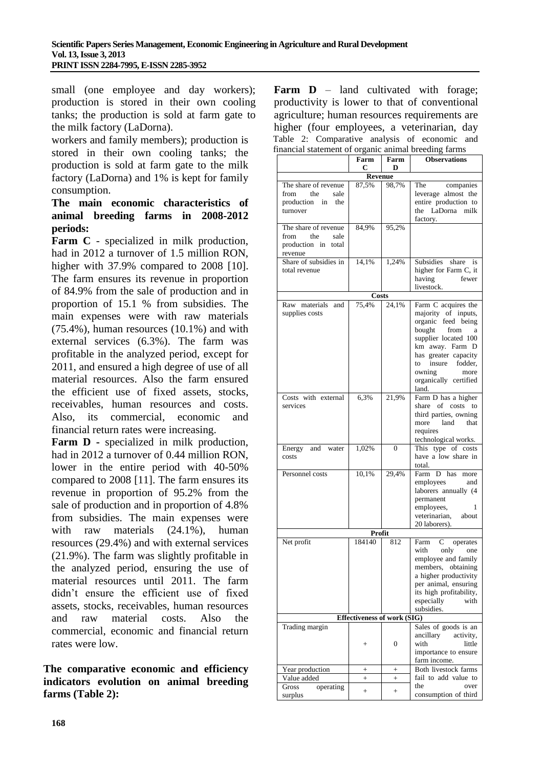small (one employee and day workers); production is stored in their own cooling tanks; the production is sold at farm gate to the milk factory (LaDorna).

workers and family members); production is stored in their own cooling tanks; the production is sold at farm gate to the milk factory (LaDorna) and 1% is kept for family consumption.

### **The main economic characteristics of animal breeding farms in 2008-2012 periods:**

**Farm C** - specialized in milk production, had in 2012 a turnover of 1.5 million RON, higher with 37.9% compared to 2008 [10]. The farm ensures its revenue in proportion of 84.9% from the sale of production and in proportion of 15.1 % from subsidies. The main expenses were with raw materials  $(75.4\%)$ , human resources  $(10.1\%)$  and with external services (6.3%). The farm was profitable in the analyzed period, except for 2011, and ensured a high degree of use of all material resources. Also the farm ensured the efficient use of fixed assets, stocks, receivables, human resources and costs. Also, its commercial, economic and financial return rates were increasing.

**Farm D -** specialized in milk production, had in 2012 a turnover of 0.44 million RON, lower in the entire period with 40-50% compared to 2008 [11]. The farm ensures its revenue in proportion of 95.2% from the sale of production and in proportion of 4.8% from subsidies. The main expenses were with raw materials (24.1%), human resources (29.4%) and with external services (21.9%). The farm was slightly profitable in the analyzed period, ensuring the use of material resources until 2011. The farm didn't ensure the efficient use of fixed assets, stocks, receivables, human resources and raw material costs. Also the commercial, economic and financial return rates were low.

**The comparative economic and efficiency indicators evolution on animal breeding farms (Table 2):**

**Farm D** – land cultivated with forage; productivity is lower to that of conventional agriculture; human resources requirements are higher (four employees, a veterinarian, day Table 2: Comparative analysis of economic and<br>financial statement of example in the produce forms financial statement of organic

| mancial statement of organic annual oreeuing farms |                    |              |                          |  |  |
|----------------------------------------------------|--------------------|--------------|--------------------------|--|--|
|                                                    | Farm<br>С          | Farm<br>D    | <b>Observations</b>      |  |  |
| <b>Revenue</b>                                     |                    |              |                          |  |  |
| The share of revenue                               | 87,5%              | 98,7%        | companies<br>The         |  |  |
| from<br>the<br>sale                                |                    |              | leverage almost the      |  |  |
| production in the                                  |                    |              | entire production to     |  |  |
| turnover                                           |                    |              | the LaDorna              |  |  |
|                                                    |                    |              | milk                     |  |  |
|                                                    |                    |              | factory.                 |  |  |
| The share of revenue                               | 84,9%              | 95,2%        |                          |  |  |
| from<br>the<br>sale                                |                    |              |                          |  |  |
| production in total                                |                    |              |                          |  |  |
| revenue                                            |                    |              |                          |  |  |
| Share of subsidies in                              | 14,1%              | 1,24%        | Subsidies<br>share<br>is |  |  |
| total revenue                                      |                    |              | higher for Farm C, it    |  |  |
|                                                    |                    |              | having<br>fewer          |  |  |
|                                                    |                    |              | livestock.               |  |  |
|                                                    | <b>Costs</b>       |              |                          |  |  |
|                                                    |                    |              |                          |  |  |
| Raw materials and                                  | 75,4%              | 24,1%        | Farm C acquires the      |  |  |
| supplies costs                                     |                    |              | majority of inputs,      |  |  |
|                                                    |                    |              | organic feed being       |  |  |
|                                                    |                    |              | bought from<br>a         |  |  |
|                                                    |                    |              | supplier located 100     |  |  |
|                                                    |                    |              | km away. Farm D          |  |  |
|                                                    |                    |              | has greater capacity     |  |  |
|                                                    |                    |              | insure fodder,<br>to     |  |  |
|                                                    |                    |              | owning<br>more           |  |  |
|                                                    |                    |              | organically certified    |  |  |
|                                                    |                    |              | land.                    |  |  |
|                                                    |                    |              |                          |  |  |
| Costs with external                                | 6,3%               | 21,9%        | Farm D has a higher      |  |  |
| services                                           |                    |              | share of costs to        |  |  |
|                                                    |                    |              | third parties, owning    |  |  |
|                                                    |                    |              | land<br>more<br>that     |  |  |
|                                                    |                    |              | requires                 |  |  |
|                                                    |                    |              | technological works.     |  |  |
| Energy<br>and water                                | 1,02%              | $\mathbf{0}$ | This type of costs       |  |  |
| costs                                              |                    |              | have a low share in      |  |  |
|                                                    |                    |              | total.                   |  |  |
| Personnel costs                                    | 10,1%              | 29,4%        | Farm D has more          |  |  |
|                                                    |                    |              | employees<br>and         |  |  |
|                                                    |                    |              | laborers annually (4     |  |  |
|                                                    |                    |              |                          |  |  |
|                                                    |                    |              | permanent                |  |  |
|                                                    |                    |              | employees,<br>1          |  |  |
|                                                    |                    |              | veterinarian, about      |  |  |
|                                                    |                    |              | 20 laborers).            |  |  |
|                                                    | Profit             |              |                          |  |  |
| Net profit                                         | 184140             | 812          | Farm<br>operates<br>С    |  |  |
|                                                    |                    |              | with only<br>one         |  |  |
|                                                    |                    |              | employee and family      |  |  |
|                                                    |                    |              | members, obtaining       |  |  |
|                                                    |                    |              | a higher productivity    |  |  |
|                                                    |                    |              | per animal, ensuring     |  |  |
|                                                    |                    |              |                          |  |  |
|                                                    |                    |              | its high profitability,  |  |  |
|                                                    |                    |              | especially<br>with       |  |  |
|                                                    |                    |              | subsidies.               |  |  |
| <b>Effectiveness of work (SIG)</b>                 |                    |              |                          |  |  |
| Trading margin                                     |                    |              | Sales of goods is an     |  |  |
|                                                    |                    |              | ancillary<br>activity,   |  |  |
|                                                    | $^{+}$             | 0            | with<br>little           |  |  |
|                                                    |                    |              | importance to ensure     |  |  |
|                                                    |                    |              | farm income.             |  |  |
|                                                    |                    |              | Both livestock farms     |  |  |
| Year production                                    | $\hspace{0.1mm} +$ | $^{+}$       |                          |  |  |
| Value added                                        | $^{+}$             | $^{+}$       | fail to add value to     |  |  |
| Gross<br>operating                                 | $\! + \!\!\!\!$    | $^{+}$       | the<br>over              |  |  |
| surplus                                            |                    |              | consumption of third     |  |  |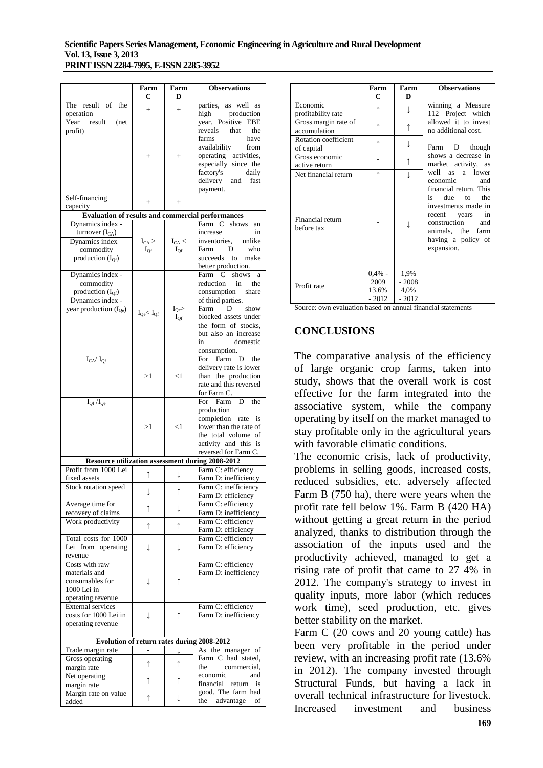|                                                                                                          | Farm<br>с              | Farm<br>D                    | <b>Observations</b>                                                                                                                                                                                                          |
|----------------------------------------------------------------------------------------------------------|------------------------|------------------------------|------------------------------------------------------------------------------------------------------------------------------------------------------------------------------------------------------------------------------|
| The result of the                                                                                        | $+$                    | $+$                          | as well as<br>parties,                                                                                                                                                                                                       |
| operation<br>Year<br>result<br>(net<br>profit)                                                           | $^{+}$                 | $\hspace{0.1mm} +$           | high<br>production<br>year. Positive<br>EBE<br>reveals<br>that<br>the<br>farms<br>have<br>availability<br>from<br>operating activities,<br>especially since the<br>factory's<br>daily<br>delivery<br>fast<br>and<br>payment. |
| Self-financing<br>capacity                                                                               | $+$                    | $+$                          |                                                                                                                                                                                                                              |
|                                                                                                          |                        |                              | <b>Evaluation of results and commercial performances</b>                                                                                                                                                                     |
| Dynamics index -<br>turnover $(I_{CA})$<br>Dynamics index -<br>commodity<br>production $(I_{Qf})$        | $I_{CA}$ ><br>$I_{Of}$ | $I_{CA}$ <<br>$I_{Qf}$       | Farm C shows<br>an<br>increase<br>in<br>inventories,<br>unlike<br>Farm<br>D<br>who<br>succeeds to<br>make<br>better production.                                                                                              |
| Dynamics index -<br>commodity<br>production $(I_{Qf})$<br>Dynamics index -<br>year production $(I_{Qe})$ | $I_{Qe} < I_{Qf}$      | $\rm I_{\rm Qe}$<br>$I_{Qf}$ | Farm<br>C<br>shows<br>a<br>reduction<br>in<br>the<br>consumption<br>share<br>of third parties.<br>Farm<br>D<br>show<br>blocked assets under<br>the form of stocks,<br>but also an increase<br>domestic<br>in<br>consumption. |
| $I_{CA}/\ I_{Qf}$                                                                                        | >1                     | $<$ 1                        | For Farm<br>D<br>the<br>delivery rate is lower<br>than the production<br>rate and this reversed<br>for Farm C.                                                                                                               |
| $I_{Qf}/I_{Qe}$                                                                                          | >1                     | $<$ 1                        | For Farm<br>D<br>the<br>production<br>completion rate<br>is<br>lower than the rate of<br>the total volume of<br>activity and this is<br>reversed for Farm C.                                                                 |
|                                                                                                          |                        |                              | Resource utilization assessment during 2008-2012                                                                                                                                                                             |
| Profit from 1000 Lei<br>fixed assets                                                                     | ↑                      | ↓                            | Farm C: efficiency<br>Farm D: inefficiency                                                                                                                                                                                   |
| Stock rotation speed                                                                                     | ↓                      | $\uparrow$                   | Farm C: inefficiency<br>Farm D: efficiency                                                                                                                                                                                   |
| Average time for<br>recovery of claims                                                                   | ↑                      | ↓                            | Farm C: efficiency<br>Farm D: inefficiency                                                                                                                                                                                   |
| Work productivity                                                                                        | $\uparrow$             | ↑                            | Farm C: efficiency                                                                                                                                                                                                           |
| Total costs for 1000<br>Lei from operating<br>revenue                                                    | ↓                      | ↓                            | Farm D: efficiency<br>Farm C: efficiency<br>Farm D: efficiency                                                                                                                                                               |
| Costs with raw<br>materials and<br>consumables for<br>1000 Lei in<br>operating revenue                   | ↓                      | $\uparrow$                   | Farm C: efficiency<br>Farm D: inefficiency                                                                                                                                                                                   |
| <b>External services</b><br>costs for 1000 Lei in<br>operating revenue                                   | ↓                      | ↑                            | Farm C: efficiency<br>Farm D: inefficiency                                                                                                                                                                                   |
|                                                                                                          |                        |                              | Evolution of return rates during 2008-2012                                                                                                                                                                                   |
| Trade margin rate<br>Gross operating                                                                     | ↑                      | ↑                            | As the manager of<br>Farm C had stated,                                                                                                                                                                                      |
| margin rate<br>Net operating                                                                             | ↑                      | ↑                            | commercial,<br>the<br>economic<br>and                                                                                                                                                                                        |
| margin rate<br>Margin rate on value                                                                      |                        |                              | financial return<br>is<br>good. The farm had                                                                                                                                                                                 |
| added                                                                                                    | ↑                      | ↓                            | advantage<br>the<br>of                                                                                                                                                                                                       |

|                                           | Farm<br>C                             | Farm<br>D                          | <b>Observations</b>                                                                                                                                                                          |
|-------------------------------------------|---------------------------------------|------------------------------------|----------------------------------------------------------------------------------------------------------------------------------------------------------------------------------------------|
| Economic<br>profitability rate            | ↑                                     |                                    | winning a Measure<br>112 Project which                                                                                                                                                       |
| Gross margin rate of<br>accumulation      | ↑                                     | ↑                                  | allowed it to invest<br>no additional cost.                                                                                                                                                  |
| <b>Rotation coefficient</b><br>of capital | ↑                                     |                                    | Farm D though                                                                                                                                                                                |
| Gross economic<br>active return           |                                       |                                    | shows a decrease in<br>market activity, as                                                                                                                                                   |
| Net financial return                      |                                       |                                    | well as a lower                                                                                                                                                                              |
| Financial return<br>before tax            | ↑                                     |                                    | economic<br>and<br>financial return. This<br>due to<br>the<br>is —<br>investments made in<br>in<br>recent years<br>construction and<br>animals, the farm<br>having a policy of<br>expansion. |
| Profit rate                               | $0.4\%$ -<br>2009<br>13,6%<br>$-2012$ | 1,9%<br>$-2008$<br>4,0%<br>$-2012$ |                                                                                                                                                                                              |

Source: own evaluation based on annual financial statements

#### **CONCLUSIONS**

The comparative analysis of the efficiency of large organic crop farms, taken into study, shows that the overall work is cost effective for the farm integrated into the associative system, while the company operating by itself on the market managed to stay profitable only in the agricultural years with favorable climatic conditions.

The economic crisis, lack of productivity, problems in selling goods, increased costs, reduced subsidies, etc. adversely affected Farm B (750 ha), there were years when the profit rate fell below 1%. Farm B (420 HA) without getting a great return in the period analyzed, thanks to distribution through the association of the inputs used and the productivity achieved, managed to get a rising rate of profit that came to 27 4% in 2012. The company's strategy to invest in quality inputs, more labor (which reduces work time), seed production, etc. gives better stability on the market.

Farm C (20 cows and 20 young cattle) has been very profitable in the period under review, with an increasing profit rate (13.6% in 2012). The company invested through Structural Funds, but having a lack in overall technical infrastructure for livestock. Increased investment and business